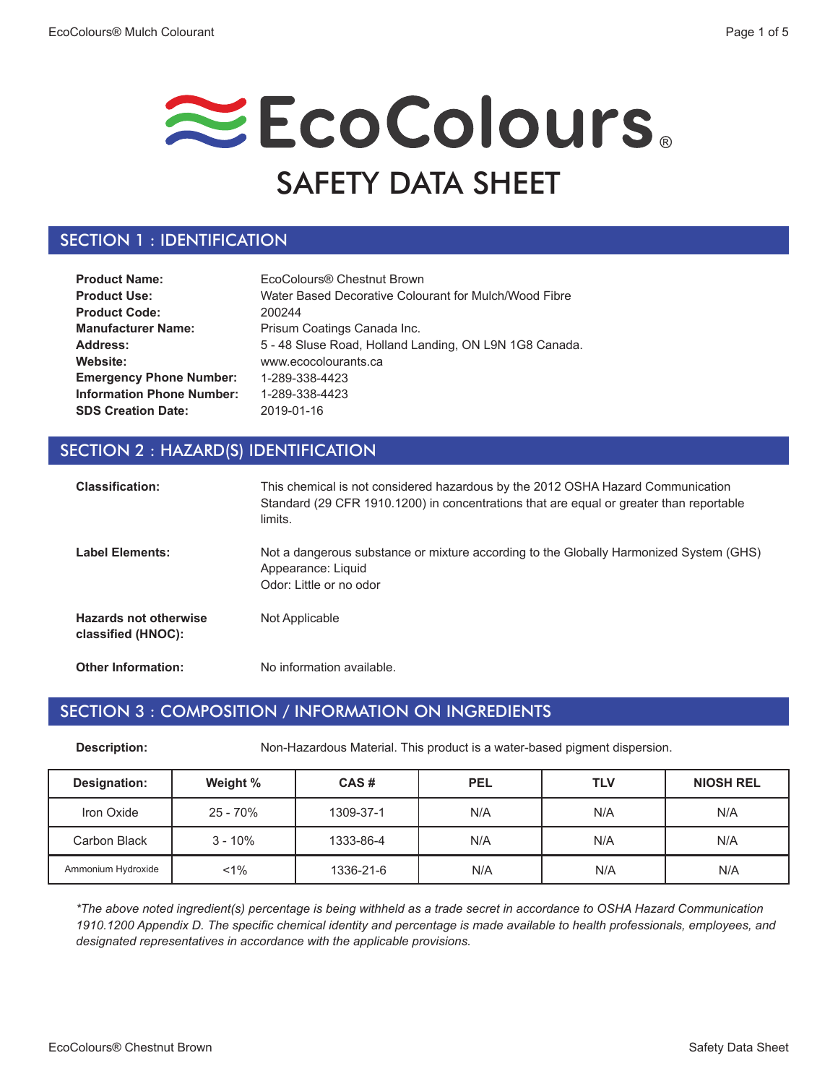# EcoColours. SAFETY DATA SHEET

### SECTION 1 : IDENTIFICATION

| <b>Product Name:</b>             | EcoColours <sup>®</sup> Chestnut Brown                 |
|----------------------------------|--------------------------------------------------------|
| <b>Product Use:</b>              | Water Based Decorative Colourant for Mulch/Wood Fibre  |
| <b>Product Code:</b>             | 200244                                                 |
| <b>Manufacturer Name:</b>        | Prisum Coatings Canada Inc.                            |
| Address:                         | 5 - 48 Sluse Road, Holland Landing, ON L9N 1G8 Canada. |
| Website:                         | www.ecocolourants.ca                                   |
| <b>Emergency Phone Number:</b>   | 1-289-338-4423                                         |
| <b>Information Phone Number:</b> | 1-289-338-4423                                         |
| <b>SDS Creation Date:</b>        | 2019-01-16                                             |

### SECTION 2 : HAZARD(S) IDENTIFICATION

| <b>Classification:</b>                             | This chemical is not considered hazardous by the 2012 OSHA Hazard Communication<br>Standard (29 CFR 1910.1200) in concentrations that are equal or greater than reportable<br>limits. |
|----------------------------------------------------|---------------------------------------------------------------------------------------------------------------------------------------------------------------------------------------|
| <b>Label Elements:</b>                             | Not a dangerous substance or mixture according to the Globally Harmonized System (GHS)<br>Appearance: Liquid<br>Odor: Little or no odor                                               |
| <b>Hazards not otherwise</b><br>classified (HNOC): | Not Applicable                                                                                                                                                                        |
| <b>Other Information:</b>                          | No information available.                                                                                                                                                             |

#### SECTION 3 : COMPOSITION / INFORMATION ON INGREDIENTS

**Description:** Non-Hazardous Material. This product is a water-based pigment dispersion.

| Designation:       | Weight %  | CAS#      | <b>PEL</b> | <b>TLV</b> | <b>NIOSH REL</b> |
|--------------------|-----------|-----------|------------|------------|------------------|
| Iron Oxide         | 25 - 70%  | 1309-37-1 | N/A        | N/A        | N/A              |
| Carbon Black       | $3 - 10%$ | 1333-86-4 | N/A        | N/A        | N/A              |
| Ammonium Hydroxide | $1\%$     | 1336-21-6 | N/A        | N/A        | N/A              |

*\*The above noted ingredient(s) percentage is being withheld as a trade secret in accordance to OSHA Hazard Communication 1910.1200 Appendix D. The specific chemical identity and percentage is made available to health professionals, employees, and designated representatives in accordance with the applicable provisions.*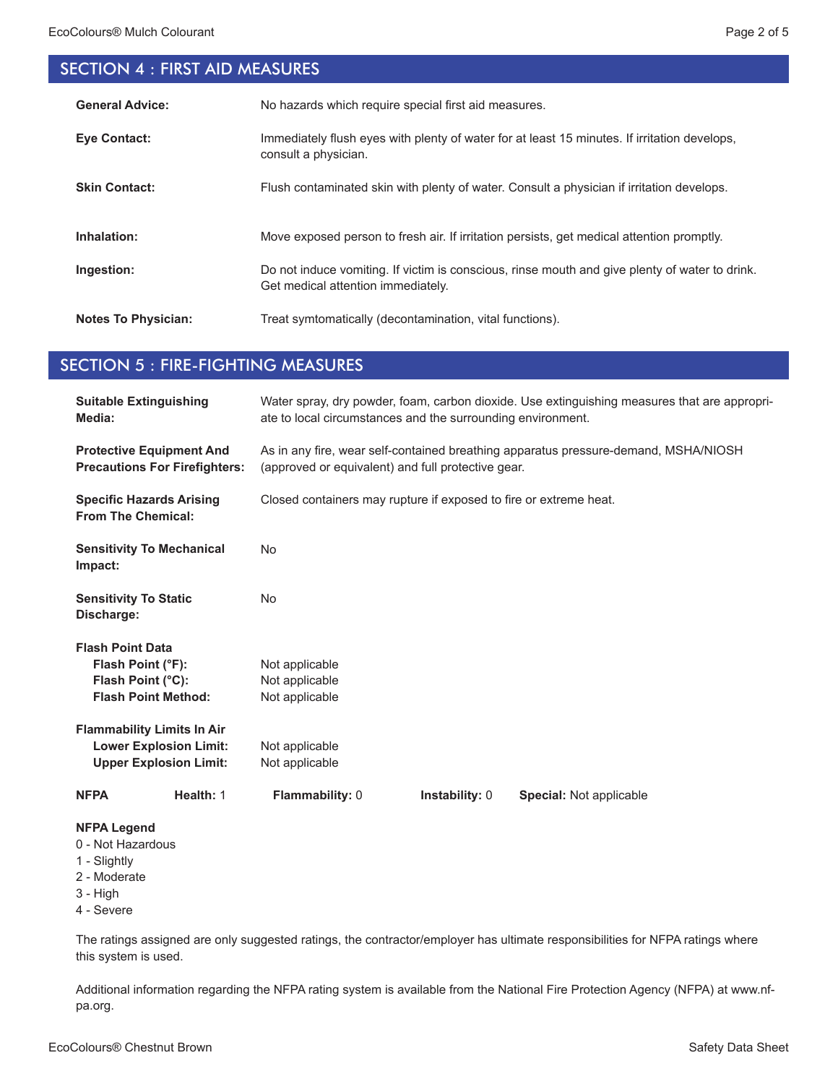## SECTION 4 : FIRST AID MEASURES

| <b>General Advice:</b>     | No hazards which require special first aid measures.                                                                                 |
|----------------------------|--------------------------------------------------------------------------------------------------------------------------------------|
| <b>Eve Contact:</b>        | Immediately flush eyes with plenty of water for at least 15 minutes. If irritation develops,<br>consult a physician.                 |
| <b>Skin Contact:</b>       | Flush contaminated skin with plenty of water. Consult a physician if irritation develops.                                            |
| Inhalation:                | Move exposed person to fresh air. If irritation persists, get medical attention promptly.                                            |
| Ingestion:                 | Do not induce vomiting. If victim is conscious, rinse mouth and give plenty of water to drink.<br>Get medical attention immediately. |
| <b>Notes To Physician:</b> | Treat symtomatically (decontamination, vital functions).                                                                             |

#### SECTION 5 : FIRE-FIGHTING MEASURES

| <b>Suitable Extinguishing</b><br>Media:                                                           | Water spray, dry powder, foam, carbon dioxide. Use extinguishing measures that are appropri-<br>ate to local circumstances and the surrounding environment. |  |  |
|---------------------------------------------------------------------------------------------------|-------------------------------------------------------------------------------------------------------------------------------------------------------------|--|--|
| <b>Protective Equipment And</b><br><b>Precautions For Firefighters:</b>                           | As in any fire, wear self-contained breathing apparatus pressure-demand, MSHA/NIOSH<br>(approved or equivalent) and full protective gear.                   |  |  |
| <b>Specific Hazards Arising</b><br><b>From The Chemical:</b>                                      | Closed containers may rupture if exposed to fire or extreme heat.                                                                                           |  |  |
| <b>Sensitivity To Mechanical</b><br>Impact:                                                       | <b>No</b>                                                                                                                                                   |  |  |
| <b>Sensitivity To Static</b><br>Discharge:                                                        | <b>No</b>                                                                                                                                                   |  |  |
| <b>Flash Point Data</b>                                                                           |                                                                                                                                                             |  |  |
| Flash Point (°F):                                                                                 | Not applicable                                                                                                                                              |  |  |
| Flash Point (°C):                                                                                 | Not applicable                                                                                                                                              |  |  |
| <b>Flash Point Method:</b>                                                                        | Not applicable                                                                                                                                              |  |  |
| <b>Flammability Limits In Air</b>                                                                 |                                                                                                                                                             |  |  |
| <b>Lower Explosion Limit:</b>                                                                     | Not applicable                                                                                                                                              |  |  |
| <b>Upper Explosion Limit:</b>                                                                     | Not applicable                                                                                                                                              |  |  |
| Health: 1<br><b>NFPA</b>                                                                          | Flammability: 0<br><b>Instability: 0</b><br><b>Special: Not applicable</b>                                                                                  |  |  |
| <b>NFPA Legend</b><br>0 - Not Hazardous<br>1 - Slightly<br>2 - Moderate<br>3 - High<br>4 - Severe |                                                                                                                                                             |  |  |

The ratings assigned are only suggested ratings, the contractor/employer has ultimate responsibilities for NFPA ratings where this system is used.

Additional information regarding the NFPA rating system is available from the National Fire Protection Agency (NFPA) at www.nfpa.org.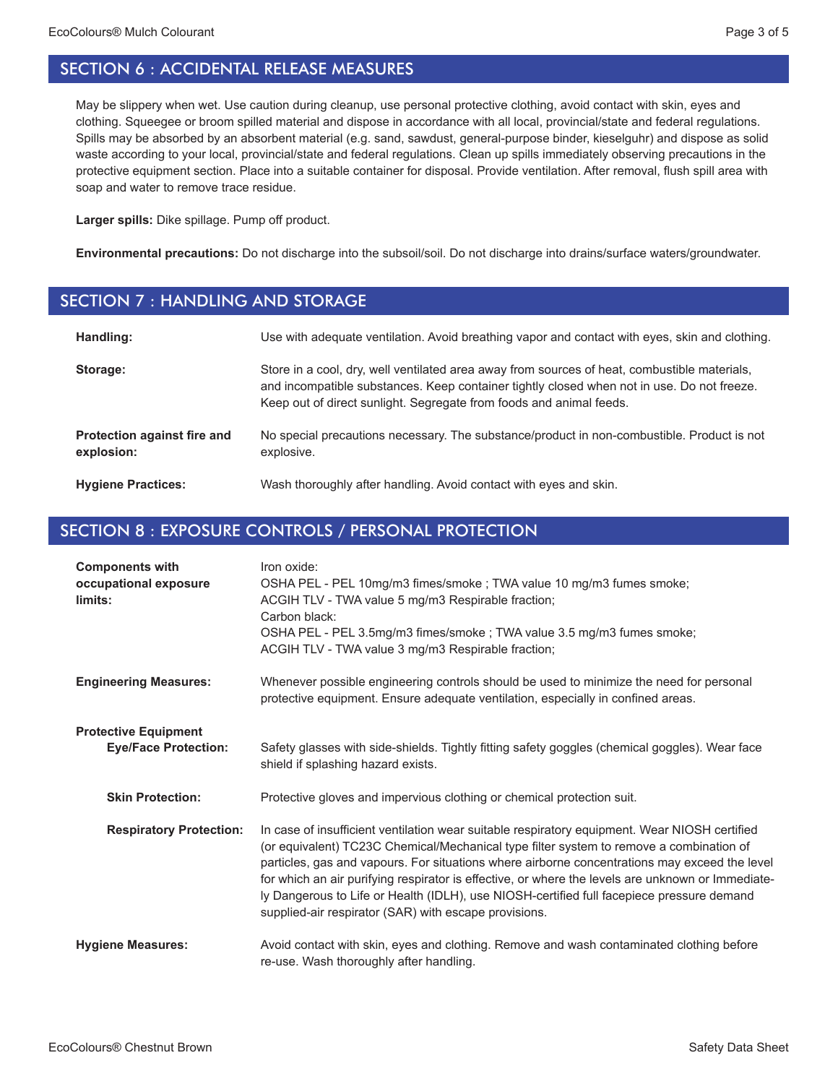May be slippery when wet. Use caution during cleanup, use personal protective clothing, avoid contact with skin, eyes and clothing. Squeegee or broom spilled material and dispose in accordance with all local, provincial/state and federal regulations. Spills may be absorbed by an absorbent material (e.g. sand, sawdust, general-purpose binder, kieselguhr) and dispose as solid waste according to your local, provincial/state and federal regulations. Clean up spills immediately observing precautions in the protective equipment section. Place into a suitable container for disposal. Provide ventilation. After removal, flush spill area with soap and water to remove trace residue.

**Larger spills:** Dike spillage. Pump off product.

**Environmental precautions:** Do not discharge into the subsoil/soil. Do not discharge into drains/surface waters/groundwater.

#### SECTION 7 : HANDLING AND STORAGE

| Handling:                                 | Use with adequate ventilation. Avoid breathing vapor and contact with eyes, skin and clothing.                                                                                                                                                                    |
|-------------------------------------------|-------------------------------------------------------------------------------------------------------------------------------------------------------------------------------------------------------------------------------------------------------------------|
| Storage:                                  | Store in a cool, dry, well ventilated area away from sources of heat, combustible materials,<br>and incompatible substances. Keep container tightly closed when not in use. Do not freeze.<br>Keep out of direct sunlight. Segregate from foods and animal feeds. |
| Protection against fire and<br>explosion: | No special precautions necessary. The substance/product in non-combustible. Product is not<br>explosive.                                                                                                                                                          |
| <b>Hygiene Practices:</b>                 | Wash thoroughly after handling. Avoid contact with eyes and skin.                                                                                                                                                                                                 |

#### SECTION 8 : EXPOSURE CONTROLS / PERSONAL PROTECTION

| <b>Components with</b><br>occupational exposure<br>limits: | Iron oxide:<br>OSHA PEL - PEL 10mg/m3 fimes/smoke ; TWA value 10 mg/m3 fumes smoke;<br>ACGIH TLV - TWA value 5 mg/m3 Respirable fraction;<br>Carbon black:<br>OSHA PEL - PEL 3.5mg/m3 fimes/smoke ; TWA value 3.5 mg/m3 fumes smoke;<br>ACGIH TLV - TWA value 3 mg/m3 Respirable fraction;                                                                                                                                                                                                                                                           |
|------------------------------------------------------------|------------------------------------------------------------------------------------------------------------------------------------------------------------------------------------------------------------------------------------------------------------------------------------------------------------------------------------------------------------------------------------------------------------------------------------------------------------------------------------------------------------------------------------------------------|
| <b>Engineering Measures:</b>                               | Whenever possible engineering controls should be used to minimize the need for personal<br>protective equipment. Ensure adequate ventilation, especially in confined areas.                                                                                                                                                                                                                                                                                                                                                                          |
| <b>Protective Equipment</b><br><b>Eye/Face Protection:</b> | Safety glasses with side-shields. Tightly fitting safety goggles (chemical goggles). Wear face<br>shield if splashing hazard exists.                                                                                                                                                                                                                                                                                                                                                                                                                 |
| <b>Skin Protection:</b>                                    | Protective gloves and impervious clothing or chemical protection suit.                                                                                                                                                                                                                                                                                                                                                                                                                                                                               |
| <b>Respiratory Protection:</b>                             | In case of insufficient ventilation wear suitable respiratory equipment. Wear NIOSH certified<br>(or equivalent) TC23C Chemical/Mechanical type filter system to remove a combination of<br>particles, gas and vapours. For situations where airborne concentrations may exceed the level<br>for which an air purifying respirator is effective, or where the levels are unknown or Immediate-<br>ly Dangerous to Life or Health (IDLH), use NIOSH-certified full facepiece pressure demand<br>supplied-air respirator (SAR) with escape provisions. |
| <b>Hygiene Measures:</b>                                   | Avoid contact with skin, eyes and clothing. Remove and wash contaminated clothing before<br>re-use. Wash thoroughly after handling.                                                                                                                                                                                                                                                                                                                                                                                                                  |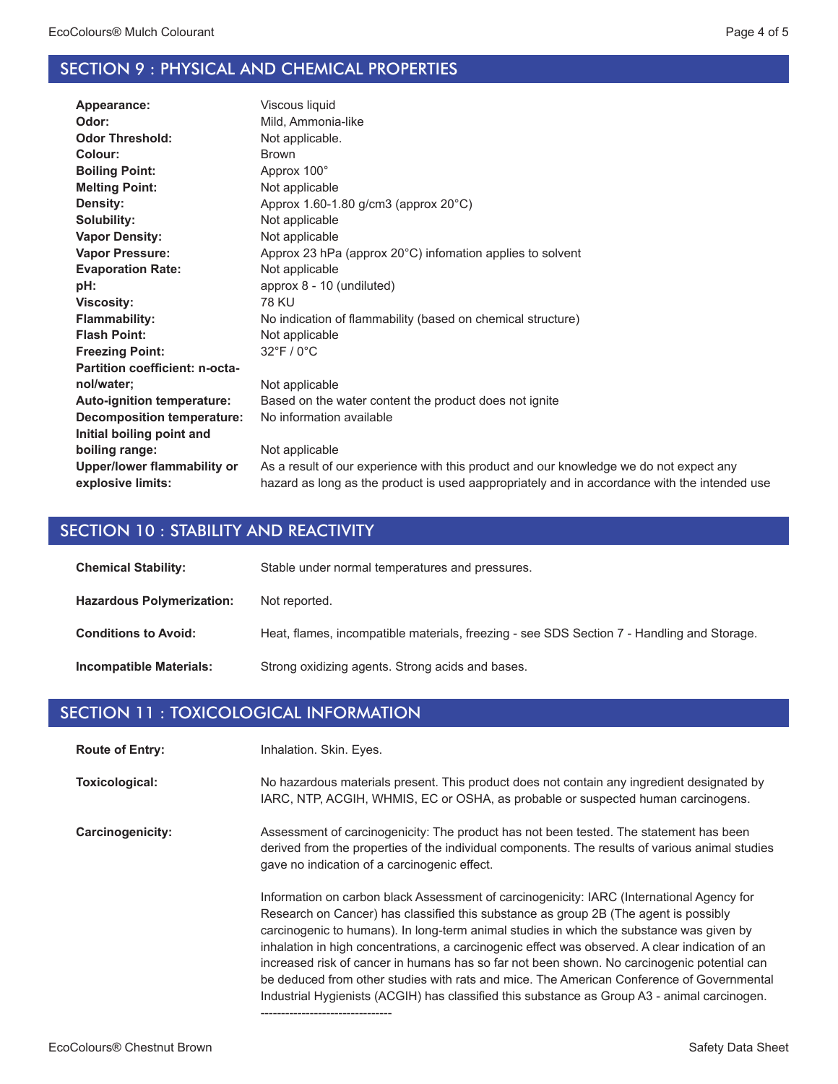#### SECTION 9 : PHYSICAL AND CHEMICAL PROPERTIES

| Appearance:                       | Viscous liquid                                                                               |
|-----------------------------------|----------------------------------------------------------------------------------------------|
| Odor:                             | Mild, Ammonia-like                                                                           |
| <b>Odor Threshold:</b>            | Not applicable.                                                                              |
| Colour:                           | <b>Brown</b>                                                                                 |
| <b>Boiling Point:</b>             | Approx 100°                                                                                  |
| <b>Melting Point:</b>             | Not applicable                                                                               |
| Density:                          | Approx $1.60 - 1.80$ g/cm3 (approx $20^{\circ}$ C)                                           |
| Solubility:                       | Not applicable                                                                               |
| <b>Vapor Density:</b>             | Not applicable                                                                               |
| <b>Vapor Pressure:</b>            | Approx 23 hPa (approx $20^{\circ}$ C) infomation applies to solvent                          |
| <b>Evaporation Rate:</b>          | Not applicable                                                                               |
| pH:                               | approx 8 - 10 (undiluted)                                                                    |
| <b>Viscosity:</b>                 | <b>78 KU</b>                                                                                 |
| <b>Flammability:</b>              | No indication of flammability (based on chemical structure)                                  |
| <b>Flash Point:</b>               | Not applicable                                                                               |
| <b>Freezing Point:</b>            | $32^{\circ}$ F / 0 $^{\circ}$ C                                                              |
| Partition coefficient: n-octa-    |                                                                                              |
| nol/water;                        | Not applicable                                                                               |
| <b>Auto-ignition temperature:</b> | Based on the water content the product does not ignite                                       |
| <b>Decomposition temperature:</b> | No information available                                                                     |
| Initial boiling point and         |                                                                                              |
| boiling range:                    | Not applicable                                                                               |
| Upper/lower flammability or       | As a result of our experience with this product and our knowledge we do not expect any       |
| explosive limits:                 | hazard as long as the product is used aappropriately and in accordance with the intended use |
|                                   |                                                                                              |

#### SECTION 10 : STABILITY AND REACTIVITY

| <b>Chemical Stability:</b>       | Stable under normal temperatures and pressures.                                            |
|----------------------------------|--------------------------------------------------------------------------------------------|
| <b>Hazardous Polymerization:</b> | Not reported.                                                                              |
| <b>Conditions to Avoid:</b>      | Heat, flames, incompatible materials, freezing - see SDS Section 7 - Handling and Storage. |
| <b>Incompatible Materials:</b>   | Strong oxidizing agents. Strong acids and bases.                                           |

#### SECTION 11 : TOXICOLOGICAL INFORMATION

Inhalation. Skin. Eyes. **Route of Entry:**

No hazardous materials present. This product does not contain any ingredient designated by IARC, NTP, ACGIH, WHMIS, EC or OSHA, as probable or suspected human carcinogens. **Toxicological:**

Assessment of carcinogenicity: The product has not been tested. The statement has been derived from the properties of the individual components. The results of various animal studies gave no indication of a carcinogenic effect. **Carcinogenicity:**

--------------------------------

Information on carbon black Assessment of carcinogenicity: IARC (International Agency for Research on Cancer) has classified this substance as group 2B (The agent is possibly carcinogenic to humans). In long-term animal studies in which the substance was given by inhalation in high concentrations, a carcinogenic effect was observed. A clear indication of an increased risk of cancer in humans has so far not been shown. No carcinogenic potential can be deduced from other studies with rats and mice. The American Conference of Governmental Industrial Hygienists (ACGIH) has classified this substance as Group A3 - animal carcinogen.